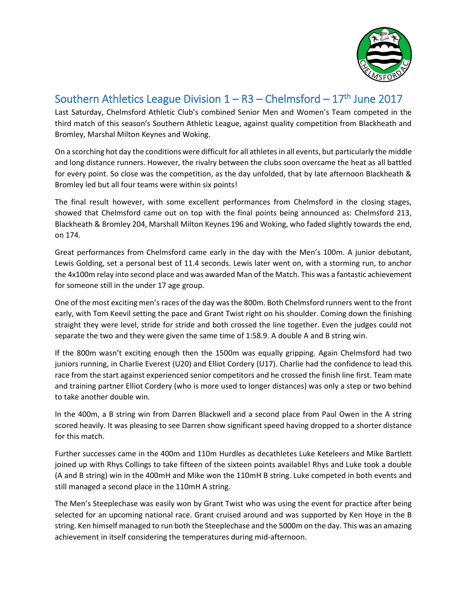

## Southern Athletics League Division  $1 - R3 - C$ helmsford  $-17$ <sup>th</sup> June 2017

Last Saturday, Chelmsford Athletic Club's combined Senior Men and Women's Team competed in the third match of this season's Southern Athletic League, against quality competition from Blackheath and Bromley, Marshal Milton Keynes and Woking.

On a scorching hot day the conditions were difficult for all athletes in all events, but particularly the middle and long distance runners. However, the rivalry between the clubs soon overcame the heat as all battled for every point. So close was the competition, as the day unfolded, that by late afternoon Blackheath & Bromley led but all four teams were within six points!

The final result however, with some excellent performances from Chelmsford in the closing stages, showed that Chelmsford came out on top with the final points being announced as: Chelmsford 213, Blackheath & Bromley 204, Marshall Milton Keynes 196 and Woking, who faded slightly towards the end, on 174.

Great performances from Chelmsford came early in the day with the Men's 100m. A junior debutant, Lewis Golding, set a personal best of 11.4 seconds. Lewis later went on, with a storming run, to anchor the 4x100m relay into second place and was awarded Man of the Match. This was a fantastic achievement for someone still in the under 17 age group.

One of the most exciting men's races of the day was the 800m. Both Chelmsford runners went to the front early, with Tom Keevil setting the pace and Grant Twist right on his shoulder. Coming down the finishing straight they were level, stride for stride and both crossed the line together. Even the judges could not separate the two and they were given the same time of 1:58.9. A double A and B string win.

If the 800m wasn't exciting enough then the 1500m was equally gripping. Again Chelmsford had two juniors running, in Charlie Everest (U20) and Elliot Cordery (U17). Charlie had the confidence to lead this race from the start against experienced senior competitors and he crossed the finish line first. Team mate and training partner Elliot Cordery (who is more used to longer distances) was only a step or two behind to take another double win.

In the 400m, a B string win from Darren Blackwell and a second place from Paul Owen in the A string scored heavily. It was pleasing to see Darren show significant speed having dropped to a shorter distance for this match.

Further successes came in the 400m and 110m Hurdles as decathletes Luke Keteleers and Mike Bartlett joined up with Rhys Collings to take fifteen of the sixteen points available! Rhys and Luke took a double (A and B string) win in the 400mH and Mike won the 110mH B string. Luke competed in both events and still managed a second place in the 110mH A string.

The Men's Steeplechase was easily won by Grant Twist who was using the event for practice after being selected for an upcoming national race. Grant cruised around and was supported by Ken Hoye in the B string. Ken himself managed to run both the Steeplechase and the 5000m on the day. This was an amazing achievement in itself considering the temperatures during mid-afternoon.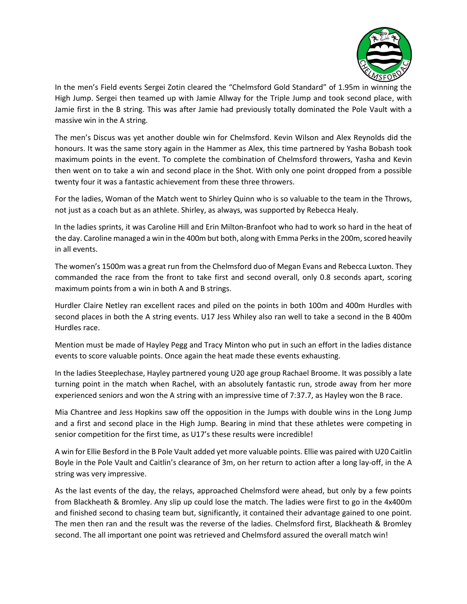

In the men's Field events Sergei Zotin cleared the "Chelmsford Gold Standard" of 1.95m in winning the High Jump. Sergei then teamed up with Jamie Allway for the Triple Jump and took second place, with Jamie first in the B string. This was after Jamie had previously totally dominated the Pole Vault with a massive win in the A string.

The men's Discus was yet another double win for Chelmsford. Kevin Wilson and Alex Reynolds did the honours. It was the same story again in the Hammer as Alex, this time partnered by Yasha Bobash took maximum points in the event. To complete the combination of Chelmsford throwers, Yasha and Kevin then went on to take a win and second place in the Shot. With only one point dropped from a possible twenty four it was a fantastic achievement from these three throwers.

For the ladies, Woman of the Match went to Shirley Quinn who is so valuable to the team in the Throws, not just as a coach but as an athlete. Shirley, as always, was supported by Rebecca Healy.

In the ladies sprints, it was Caroline Hill and Erin Milton-Branfoot who had to work so hard in the heat of the day. Caroline managed a win in the 400m but both, along with Emma Perks in the 200m, scored heavily in all events.

The women's 1500m was a great run from the Chelmsford duo of Megan Evans and Rebecca Luxton. They commanded the race from the front to take first and second overall, only 0.8 seconds apart, scoring maximum points from a win in both A and B strings.

Hurdler Claire Netley ran excellent races and piled on the points in both 100m and 400m Hurdles with second places in both the A string events. U17 Jess Whiley also ran well to take a second in the B 400m Hurdles race.

Mention must be made of Hayley Pegg and Tracy Minton who put in such an effort in the ladies distance events to score valuable points. Once again the heat made these events exhausting.

In the ladies Steeplechase, Hayley partnered young U20 age group Rachael Broome. It was possibly a late turning point in the match when Rachel, with an absolutely fantastic run, strode away from her more experienced seniors and won the A string with an impressive time of 7:37.7, as Hayley won the B race.

Mia Chantree and Jess Hopkins saw off the opposition in the Jumps with double wins in the Long Jump and a first and second place in the High Jump. Bearing in mind that these athletes were competing in senior competition for the first time, as U17's these results were incredible!

A win for Ellie Besford in the B Pole Vault added yet more valuable points. Ellie was paired with U20 Caitlin Boyle in the Pole Vault and Caitlin's clearance of 3m, on her return to action after a long lay-off, in the A string was very impressive.

As the last events of the day, the relays, approached Chelmsford were ahead, but only by a few points from Blackheath & Bromley. Any slip up could lose the match. The ladies were first to go in the 4x400m and finished second to chasing team but, significantly, it contained their advantage gained to one point. The men then ran and the result was the reverse of the ladies. Chelmsford first, Blackheath & Bromley second. The all important one point was retrieved and Chelmsford assured the overall match win!